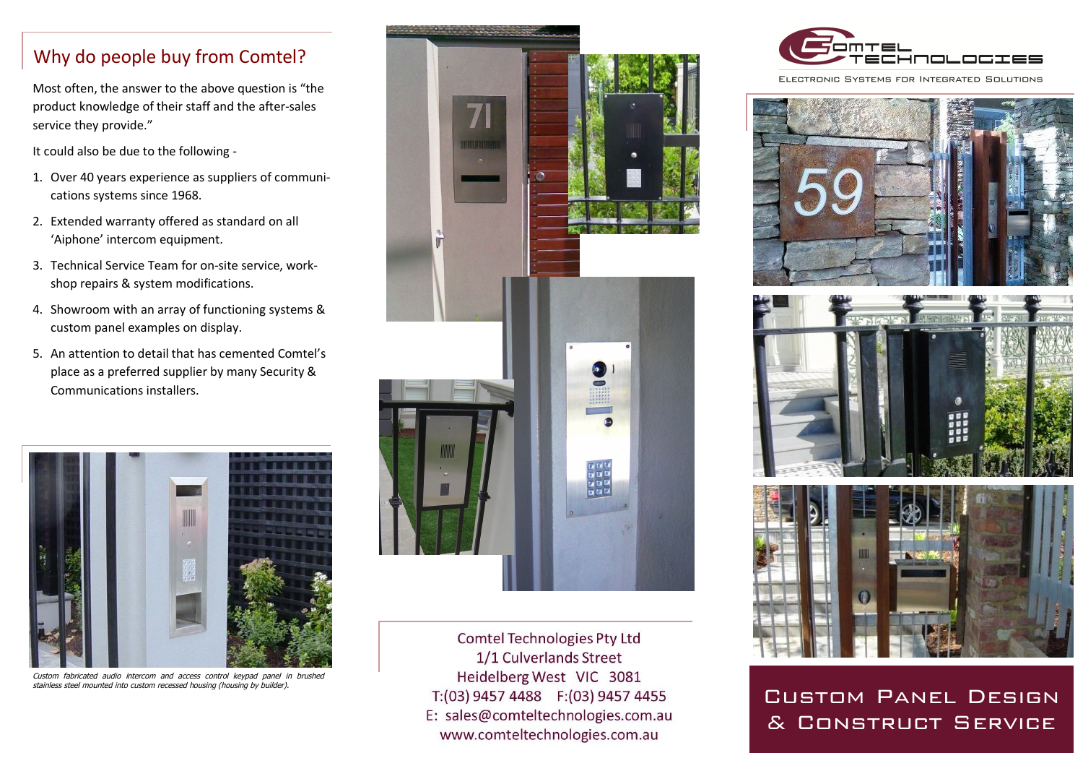## Why do people buy from Comtel?

Most often, the answer to the above question is "the product knowledge of their staff and the after-sales service they provide."

It could also be due to the following -

- 1. Over 40 years experience as suppliers of communications systems since 1968.
- 2. Extended warranty offered as standard on all 'Aiphone' intercom equipment.
- 3. Technical Service Team for on-site service, workshop repairs & system modifications.
- 4. Showroom with an array of functioning systems & custom panel examples on display.
- 5. An attention to detail that has cemented Comtel's place as a preferred supplier by many Security & Communications installers.



*Custom fabricated audio intercom and access control keypad panel in brushed stainless steel mounted into custom recessed housing (housing by builder).*



**Comtel Technologies Pty Ltd** 1/1 Culverlands Street Heidelberg West VIC 3081 T:(03) 9457 4488 F:(03) 9457 4455 E: sales@comteltechnologies.com.au www.comteltechnologies.com.au



ELECTRONIC SYSTEMS FOR INTEGRATED SOLUTIONS







Custom Panel Design & Construct Service